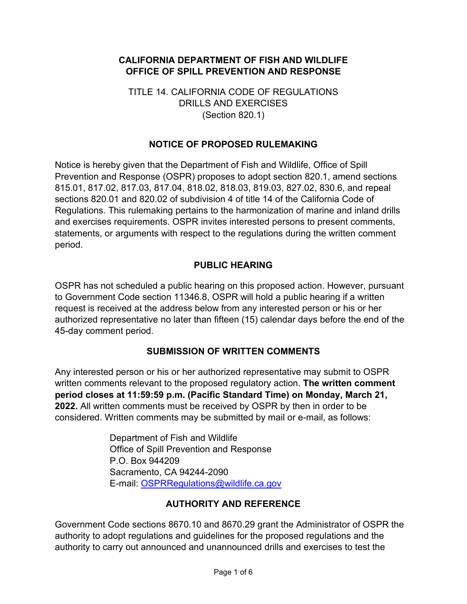## **CALIFORNIA DEPARTMENT OF FISH AND WILDLIFE OFFICE OF SPILL PREVENTION AND RESPONSE**

## TITLE 14. CALIFORNIA CODE OF REGULATIONS DRILLS AND EXERCISES (Section 820.1)

## **NOTICE OF PROPOSED RULEMAKING**

Notice is hereby given that the Department of Fish and Wildlife, Office of Spill Prevention and Response (OSPR) proposes to adopt section 820.1, amend sections 815.01, 817.02, 817.03, 817.04, 818.02, 818.03, 819.03, 827.02, 830.6, and repeal sections 820.01 and 820.02 of subdivision 4 of title 14 of the California Code of Regulations. This rulemaking pertains to the harmonization of marine and inland drills and exercises requirements. OSPR invites interested persons to present comments, statements, or arguments with respect to the regulations during the written comment period.

## **PUBLIC HEARING**

OSPR has not scheduled a public hearing on this proposed action. However, pursuant to Government Code section 11346.8, OSPR will hold a public hearing if a written request is received at the address below from any interested person or his or her authorized representative no later than fifteen (15) calendar days before the end of the 45-day comment period.

## **SUBMISSION OF WRITTEN COMMENTS**

Any interested person or his or her authorized representative may submit to OSPR written comments relevant to the proposed regulatory action. **The written comment period closes at 11:59:59 p.m. (Pacific Standard Time) on Monday, March 21, 2022.** All written comments must be received by OSPR by then in order to be considered. Written comments may be submitted by mail or e-mail, as follows:

> Department of Fish and Wildlife Office of Spill Prevention and Response P.O. Box 944209 Sacramento, CA 94244-2090 E-mail: [OSPRRegulations@wildlife.ca.gov](mailto:OSPRRegulations@wildlife.ca.gov)

#### **AUTHORITY AND REFERENCE**

Government Code sections 8670.10 and 8670.29 grant the Administrator of OSPR the authority to adopt regulations and guidelines for the proposed regulations and the authority to carry out announced and unannounced drills and exercises to test the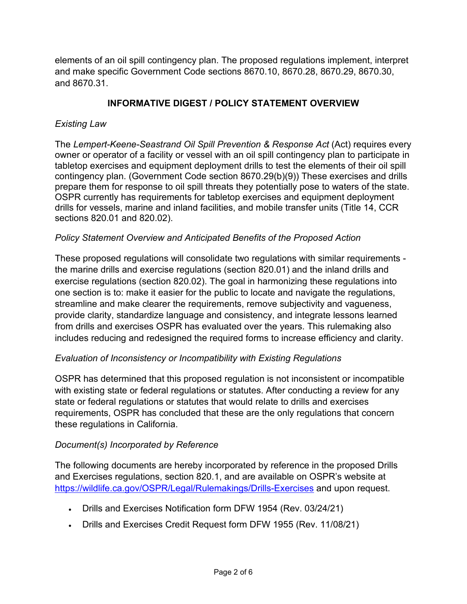elements of an oil spill contingency plan. The proposed regulations implement, interpret and make specific Government Code sections 8670.10, 8670.28, 8670.29, 8670.30, and 8670.31.

## **INFORMATIVE DIGEST / POLICY STATEMENT OVERVIEW**

#### *Existing Law*

The *Lempert-Keene-Seastrand Oil Spill Prevention & Response Act* (Act) requires every owner or operator of a facility or vessel with an oil spill contingency plan to participate in tabletop exercises and equipment deployment drills to test the elements of their oil spill contingency plan. (Government Code section 8670.29(b)(9)) These exercises and drills prepare them for response to oil spill threats they potentially pose to waters of the state. OSPR currently has requirements for tabletop exercises and equipment deployment drills for vessels, marine and inland facilities, and mobile transfer units (Title 14, CCR sections 820.01 and 820.02).

#### *Policy Statement Overview and Anticipated Benefits of the Proposed Action*

These proposed regulations will consolidate two regulations with similar requirements the marine drills and exercise regulations (section 820.01) and the inland drills and exercise regulations (section 820.02). The goal in harmonizing these regulations into one section is to: make it easier for the public to locate and navigate the regulations, streamline and make clearer the requirements, remove subjectivity and vagueness, provide clarity, standardize language and consistency, and integrate lessons learned from drills and exercises OSPR has evaluated over the years. This rulemaking also includes reducing and redesigned the required forms to increase efficiency and clarity.

## *Evaluation of Inconsistency or Incompatibility with Existing Regulations*

OSPR has determined that this proposed regulation is not inconsistent or incompatible with existing state or federal regulations or statutes. After conducting a review for any state or federal regulations or statutes that would relate to drills and exercises requirements, OSPR has concluded that these are the only regulations that concern these regulations in California.

#### *Document(s) Incorporated by Reference*

The following documents are hereby incorporated by reference in the proposed Drills and Exercises regulations, section 820.1, and are available on OSPR's website at <https://wildlife.ca.gov/OSPR/Legal/Rulemakings/Drills-Exercises> and upon request.

- Drills and Exercises Notification form DFW 1954 (Rev. 03/24/21)
- Drills and Exercises Credit Request form DFW 1955 (Rev. 11/08/21)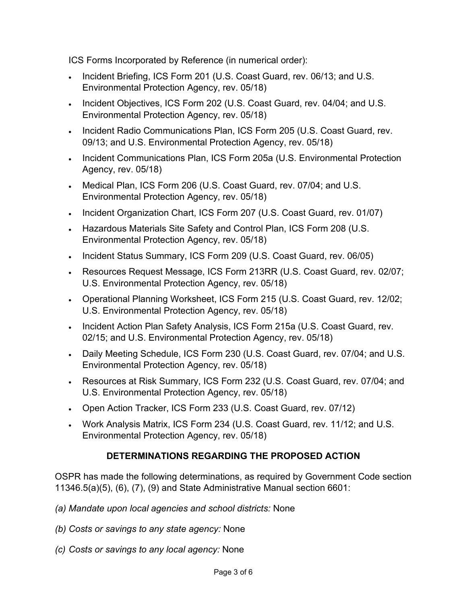ICS Forms Incorporated by Reference (in numerical order):

- Incident Briefing, ICS Form 201 (U.S. Coast Guard, rev. 06/13; and U.S. Environmental Protection Agency, rev. 05/18)
- Incident Objectives, ICS Form 202 (U.S. Coast Guard, rev. 04/04; and U.S. Environmental Protection Agency, rev. 05/18)
- Incident Radio Communications Plan, ICS Form 205 (U.S. Coast Guard, rev. 09/13; and U.S. Environmental Protection Agency, rev. 05/18)
- Incident Communications Plan, ICS Form 205a (U.S. Environmental Protection Agency, rev. 05/18)
- Medical Plan, ICS Form 206 (U.S. Coast Guard, rev. 07/04; and U.S. Environmental Protection Agency, rev. 05/18)
- Incident Organization Chart, ICS Form 207 (U.S. Coast Guard, rev. 01/07)
- Hazardous Materials Site Safety and Control Plan, ICS Form 208 (U.S. Environmental Protection Agency, rev. 05/18)
- Incident Status Summary, ICS Form 209 (U.S. Coast Guard, rev. 06/05)
- Resources Request Message, ICS Form 213RR (U.S. Coast Guard, rev. 02/07; U.S. Environmental Protection Agency, rev. 05/18)
- Operational Planning Worksheet, ICS Form 215 (U.S. Coast Guard, rev. 12/02; U.S. Environmental Protection Agency, rev. 05/18)
- Incident Action Plan Safety Analysis, ICS Form 215a (U.S. Coast Guard, rev. 02/15; and U.S. Environmental Protection Agency, rev. 05/18)
- Daily Meeting Schedule, ICS Form 230 (U.S. Coast Guard, rev. 07/04; and U.S. Environmental Protection Agency, rev. 05/18)
- Resources at Risk Summary, ICS Form 232 (U.S. Coast Guard, rev. 07/04; and U.S. Environmental Protection Agency, rev. 05/18)
- Open Action Tracker, ICS Form 233 (U.S. Coast Guard, rev. 07/12)
- Work Analysis Matrix, ICS Form 234 (U.S. Coast Guard, rev. 11/12; and U.S. Environmental Protection Agency, rev. 05/18)

# **DETERMINATIONS REGARDING THE PROPOSED ACTION**

OSPR has made the following determinations, as required by Government Code section 11346.5(a)(5), (6), (7), (9) and State Administrative Manual section 6601:

- *(a) Mandate upon local agencies and school districts:* None
- *(b) Costs or savings to any state agency:* None
- *(c) Costs or savings to any local agency:* None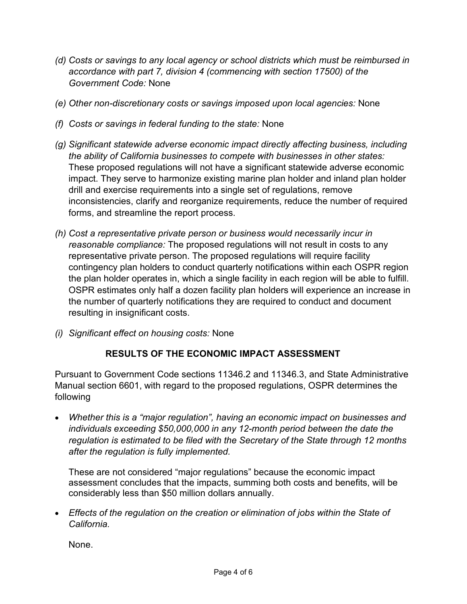- *(d) Costs or savings to any local agency or school districts which must be reimbursed in accordance with part 7, division 4 (commencing with section 17500) of the Government Code:* None
- *(e) Other non-discretionary costs or savings imposed upon local agencies:* None
- *(f) Costs or savings in federal funding to the state:* None
- *(g) Significant statewide adverse economic impact directly affecting business, including the ability of California businesses to compete with businesses in other states:* These proposed regulations will not have a significant statewide adverse economic impact. They serve to harmonize existing marine plan holder and inland plan holder drill and exercise requirements into a single set of regulations, remove inconsistencies, clarify and reorganize requirements, reduce the number of required forms, and streamline the report process.
- *(h) Cost a representative private person or business would necessarily incur in reasonable compliance:* The proposed regulations will not result in costs to any representative private person. The proposed regulations will require facility contingency plan holders to conduct quarterly notifications within each OSPR region the plan holder operates in, which a single facility in each region will be able to fulfill. OSPR estimates only half a dozen facility plan holders will experience an increase in the number of quarterly notifications they are required to conduct and document resulting in insignificant costs.
- *(i) Significant effect on housing costs:* None

## **RESULTS OF THE ECONOMIC IMPACT ASSESSMENT**

Pursuant to Government Code sections 11346.2 and 11346.3, and State Administrative Manual section 6601, with regard to the proposed regulations, OSPR determines the following

• *Whether this is a "major regulation", having an economic impact on businesses and individuals exceeding \$50,000,000 in any 12-month period between the date the regulation is estimated to be filed with the Secretary of the State through 12 months after the regulation is fully implemented.*

These are not considered "major regulations" because the economic impact assessment concludes that the impacts, summing both costs and benefits, will be considerably less than \$50 million dollars annually.

• *Effects of the regulation on the creation or elimination of jobs within the State of California.*

None.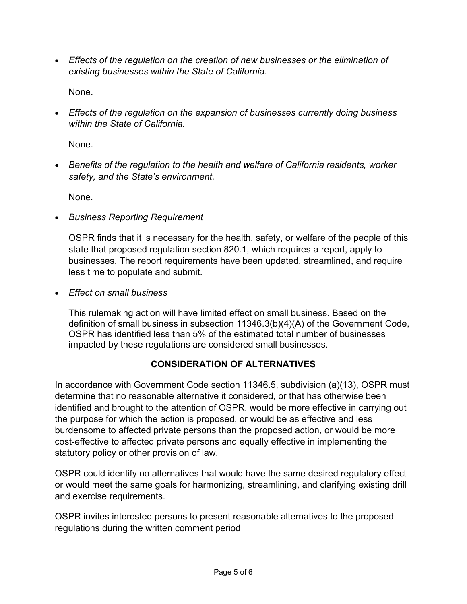• *Effects of the regulation on the creation of new businesses or the elimination of existing businesses within the State of California.*

None.

• *Effects of the regulation on the expansion of businesses currently doing business within the State of California.*

None.

• *Benefits of the regulation to the health and welfare of California residents, worker safety, and the State's environment.*

None.

• *Business Reporting Requirement*

OSPR finds that it is necessary for the health, safety, or welfare of the people of this state that proposed regulation section 820.1, which requires a report, apply to businesses. The report requirements have been updated, streamlined, and require less time to populate and submit.

• *Effect on small business*

This rulemaking action will have limited effect on small business. Based on the definition of small business in subsection 11346.3(b)(4)(A) of the Government Code, OSPR has identified less than 5% of the estimated total number of businesses impacted by these regulations are considered small businesses.

# **CONSIDERATION OF ALTERNATIVES**

In accordance with Government Code section 11346.5, subdivision (a)(13), OSPR must determine that no reasonable alternative it considered, or that has otherwise been identified and brought to the attention of OSPR, would be more effective in carrying out the purpose for which the action is proposed, or would be as effective and less burdensome to affected private persons than the proposed action, or would be more cost-effective to affected private persons and equally effective in implementing the statutory policy or other provision of law.

OSPR could identify no alternatives that would have the same desired regulatory effect or would meet the same goals for harmonizing, streamlining, and clarifying existing drill and exercise requirements.

OSPR invites interested persons to present reasonable alternatives to the proposed regulations during the written comment period